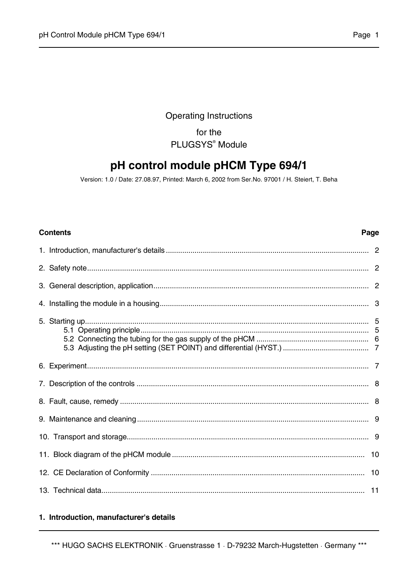# **Operating Instructions**

for the PLUGSYS® Module

# pH control module pHCM Type 694/1

Version: 1.0 / Date: 27.08.97, Printed: March 6, 2002 from Ser.No. 97001 / H. Steiert, T. Beha

### **Contents**

# 1. Introduction, manufacturer's details

#### Page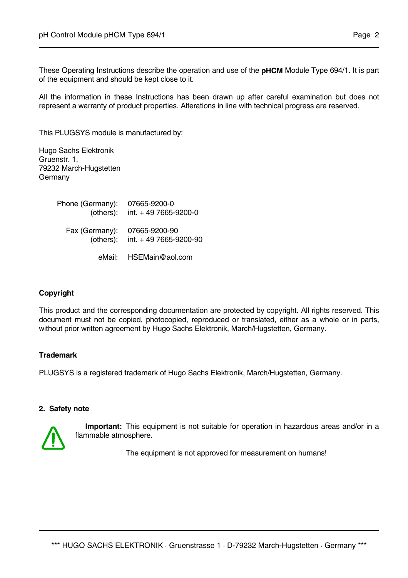These Operating Instructions describe the operation and use of the **pHCM** Module Type 694/1. It is part of the equipment and should be kept close to it.

All the information in these Instructions has been drawn up after careful examination but does not represent a warranty of product properties. Alterations in line with technical progress are reserved.

This PLUGSYS module is manufactured by:

Hugo Sachs Elektronik Gruenstr. 1, 79232 March-Hugstetten Germany

| Phone (Germany): | 07665-9200-0<br>(others): $int. +497665-9200-0$   |
|------------------|---------------------------------------------------|
| Fax (Germany):   | 07665-9200-90<br>(others): $int. +497665-9200-90$ |
|                  | eMail: HSEMain@aol.com                            |

# **Copyright**

This product and the corresponding documentation are protected by copyright. All rights reserved. This document must not be copied, photocopied, reproduced or translated, either as a whole or in parts, without prior written agreement by Hugo Sachs Elektronik, March/Hugstetten, Germany.

# **Trademark**

PLUGSYS is a registered trademark of Hugo Sachs Elektronik, March/Hugstetten, Germany.

#### **2. Safety note**



 **Important:** This equipment is not suitable for operation in hazardous areas and/or in a flammable atmosphere.

The equipment is not approved for measurement on humans!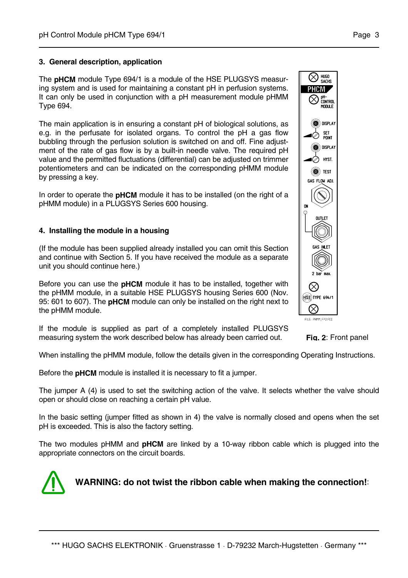#### **3. General description, application**

The **pHCM** module Type 694/1 is a module of the HSE PLUGSYS measuring system and is used for maintaining a constant pH in perfusion systems. It can only be used in conjunction with a pH measurement module pHMM Type 694.

The main application is in ensuring a constant pH of biological solutions, as e.g. in the perfusate for isolated organs. To control the pH a gas flow bubbling through the perfusion solution is switched on and off. Fine adjustment of the rate of gas flow is by a built-in needle valve. The required pH value and the permitted fluctuations (differential) can be adjusted on trimmer potentiometers and can be indicated on the corresponding pHMM module by pressing a key.

In order to operate the **pHCM** module it has to be installed (on the right of a pHMM module) in a PLUGSYS Series 600 housing.

### **4. Installing the module in a housing**

(If the module has been supplied already installed you can omit this Section and continue with Section 5. If you have received the module as a separate unit you should continue here.)

Before you can use the **pHCM** module it has to be installed, together with the pHMM module, in a suitable HSE PLUGSYS housing Series 600 (Nov. 95: 601 to 607). The **pHCM** module can only be installed on the right next to the pHMM module.

If the module is supplied as part of a completely installed PLUGSYS measuring system the work described below has already been carried out.

When installing the pHMM module, follow the details given in the corresponding Operating Instructions.

Before the **pHCM** module is installed it is necessary to fit a jumper.

The jumper A (4) is used to set the switching action of the valve. It selects whether the valve should open or should close on reaching a certain pH value.

In the basic setting (jumper fitted as shown in 4) the valve is normally closed and opens when the set pH is exceeded. This is also the factory setting.

The two modules pHMM and **pHCM** are linked by a 10-way ribbon cable which is plugged into the appropriate connectors on the circuit boards.



**WARNING: do not twist the ribbon cable when making the connection!**:



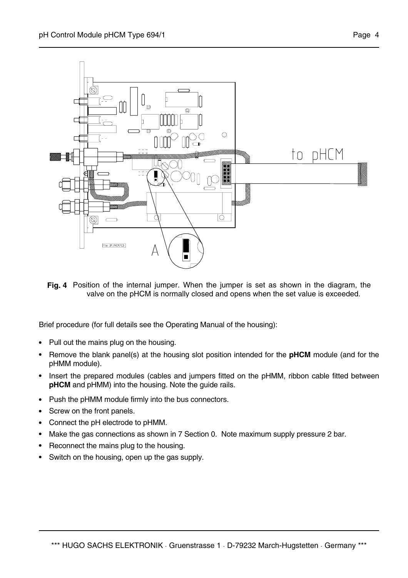

**Fig. 4** Position of the internal jumper. When the jumper is set as shown in the diagram, the valve on the pHCM is normally closed and opens when the set value is exceeded.

Brief procedure (for full details see the Operating Manual of the housing):

- **•** Pull out the mains plug on the housing.
- **•** Remove the blank panel(s) at the housing slot position intended for the **pHCM** module (and for the pHMM module).
- **•** Insert the prepared modules (cables and jumpers fitted on the pHMM, ribbon cable fitted between **pHCM** and pHMM) into the housing. Note the guide rails.
- **•** Push the pHMM module firmly into the bus connectors.
- **•** Screw on the front panels.
- **•** Connect the pH electrode to pHMM.
- **•** Make the gas connections as shown in 7 Section 0. Note maximum supply pressure 2 bar.
- **•** Reconnect the mains plug to the housing.
- **•** Switch on the housing, open up the gas supply.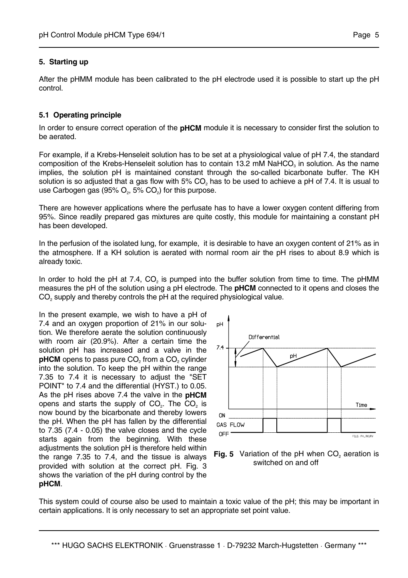### **5. Starting up**

After the pHMM module has been calibrated to the pH electrode used it is possible to start up the pH control.

#### **5.1 Operating principle**

In order to ensure correct operation of the **pHCM** module it is necessary to consider first the solution to be aerated.

For example, if a Krebs-Henseleit solution has to be set at a physiological value of pH 7.4, the standard composition of the Krebs-Henseleit solution has to contain 13.2 mM NaHCO<sub>3</sub> in solution. As the name implies, the solution pH is maintained constant through the so-called bicarbonate buffer. The KH solution is so adjusted that a gas flow with  $5\%$  CO<sub>2</sub> has to be used to achieve a pH of 7.4. It is usual to use Carbogen gas  $(95\% O<sub>2</sub>, 5\% CO<sub>2</sub>)$  for this purpose.

There are however applications where the perfusate has to have a lower oxygen content differing from 95%. Since readily prepared gas mixtures are quite costly, this module for maintaining a constant pH has been developed.

In the perfusion of the isolated lung, for example, it is desirable to have an oxygen content of 21% as in the atmosphere. If a KH solution is aerated with normal room air the pH rises to about 8.9 which is already toxic.

In order to hold the pH at  $7.4$ ,  $CO<sub>2</sub>$  is pumped into the buffer solution from time to time. The pHMM measures the pH of the solution using a pH electrode. The **pHCM** connected to it opens and closes the CO<sub>2</sub> supply and thereby controls the pH at the required physiological value.

In the present example, we wish to have a pH of 7.4 and an oxygen proportion of 21% in our solution. We therefore aerate the solution continuously with room air (20.9%). After a certain time the solution pH has increased and a valve in the **pHCM** opens to pass pure CO<sub>2</sub> from a CO<sub>2</sub> cylinder into the solution. To keep the pH within the range 7.35 to 7.4 it is necessary to adjust the "SET POINT" to 7.4 and the differential (HYST.) to 0.05. As the pH rises above 7.4 the valve in the **pHCM** opens and starts the supply of CO<sub>2</sub>. The CO<sub>2</sub> is now bound by the bicarbonate and thereby lowers the pH. When the pH has fallen by the differential to 7.35 (7.4 - 0.05) the valve closes and the cycle starts again from the beginning. With these adjustments the solution pH is therefore held within the range 7.35 to 7.4, and the tissue is always provided with solution at the correct pH. Fig. 3 shows the variation of the pH during control by the **pHCM**.



**Fig. 5** Variation of the pH when CO<sub>2</sub> aeration is switched on and off

This system could of course also be used to maintain a toxic value of the pH; this may be important in certain applications. It is only necessary to set an appropriate set point value.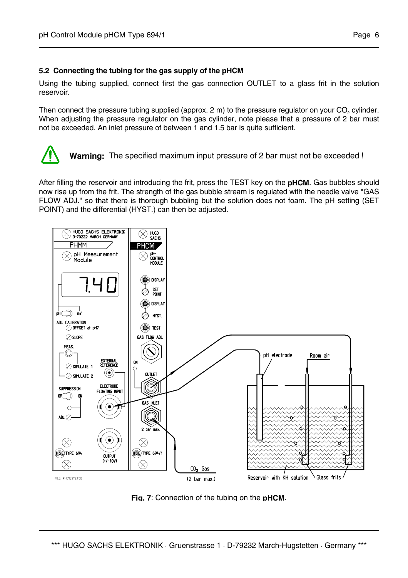#### **5.2 Connecting the tubing for the gas supply of the pHCM**

Using the tubing supplied, connect first the gas connection OUTLET to a glass frit in the solution reservoir.

Then connect the pressure tubing supplied (approx.  $2 \text{ m}$ ) to the pressure regulator on your  $CO<sub>2</sub>$  cylinder. When adjusting the pressure regulator on the gas cylinder, note please that a pressure of 2 bar must not be exceeded. An inlet pressure of between 1 and 1.5 bar is quite sufficient.



**Warning:** The specified maximum input pressure of 2 bar must not be exceeded !

After filling the reservoir and introducing the frit, press the TEST key on the **pHCM**. Gas bubbles should now rise up from the frit. The strength of the gas bubble stream is regulated with the needle valve "GAS FLOW ADJ." so that there is thorough bubbling but the solution does not foam. The pH setting (SET POINT) and the differential (HYST.) can then be adjusted.



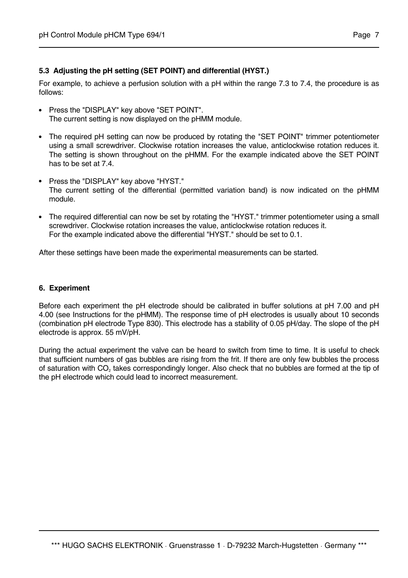### **5.3 Adjusting the pH setting (SET POINT) and differential (HYST.)**

For example, to achieve a perfusion solution with a pH within the range 7.3 to 7.4, the procedure is as follows:

- **•** Press the "DISPLAY" key above "SET POINT". The current setting is now displayed on the pHMM module.
- **•** The required pH setting can now be produced by rotating the "SET POINT" trimmer potentiometer using a small screwdriver. Clockwise rotation increases the value, anticlockwise rotation reduces it. The setting is shown throughout on the pHMM. For the example indicated above the SET POINT has to be set at 7.4.
- **•** Press the "DISPLAY" key above "HYST." The current setting of the differential (permitted variation band) is now indicated on the pHMM module.
- **•** The required differential can now be set by rotating the "HYST." trimmer potentiometer using a small screwdriver. Clockwise rotation increases the value, anticlockwise rotation reduces it. For the example indicated above the differential "HYST." should be set to 0.1.

After these settings have been made the experimental measurements can be started.

#### **6. Experiment**

Before each experiment the pH electrode should be calibrated in buffer solutions at pH 7.00 and pH 4.00 (see Instructions for the pHMM). The response time of pH electrodes is usually about 10 seconds (combination pH electrode Type 830). This electrode has a stability of 0.05 pH/day. The slope of the pH electrode is approx. 55 mV/pH.

During the actual experiment the valve can be heard to switch from time to time. It is useful to check that sufficient numbers of gas bubbles are rising from the frit. If there are only few bubbles the process of saturation with CO<sub>2</sub> takes correspondingly longer. Also check that no bubbles are formed at the tip of the pH electrode which could lead to incorrect measurement.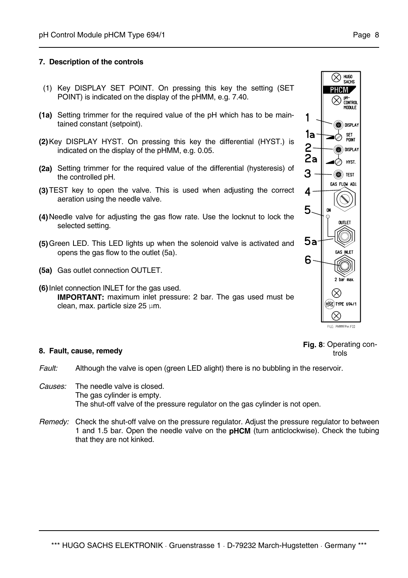#### **7. Description of the controls**

- (1) Key DISPLAY SET POINT. On pressing this key the setting (SET POINT) is indicated on the display of the pHMM, e.g. 7.40.
- **(1a)** Setting trimmer for the required value of the pH which has to be maintained constant (setpoint).
- **(2)** Key DISPLAY HYST. On pressing this key the differential (HYST.) is indicated on the display of the pHMM, e.g. 0.05.
- **(2a)** Setting trimmer for the required value of the differential (hysteresis) of the controlled pH.
- **(3)** TEST key to open the valve. This is used when adjusting the correct aeration using the needle valve.
- **(4)** Needle valve for adjusting the gas flow rate. Use the locknut to lock the selected setting.
- **(5)** Green LED. This LED lights up when the solenoid valve is activated and opens the gas flow to the outlet (5a).
- **(5a)** Gas outlet connection OUTLET.
- **(6)** Inlet connection INLET for the gas used.  **IMPORTANT:** maximum inlet pressure: 2 bar. The gas used must be clean, max. particle size 25 µm.



**Fig. 8**: Operating controls

#### **8. Fault, cause, remedy**

*Fault:* Although the valve is open (green LED alight) there is no bubbling in the reservoir.

- *Causes:* The needle valve is closed. The gas cylinder is empty. The shut-off valve of the pressure regulator on the gas cylinder is not open.
- *Remedy:* Check the shut-off valve on the pressure regulator. Adjust the pressure regulator to between 1 and 1.5 bar. Open the needle valve on the **pHCM** (turn anticlockwise). Check the tubing that they are not kinked.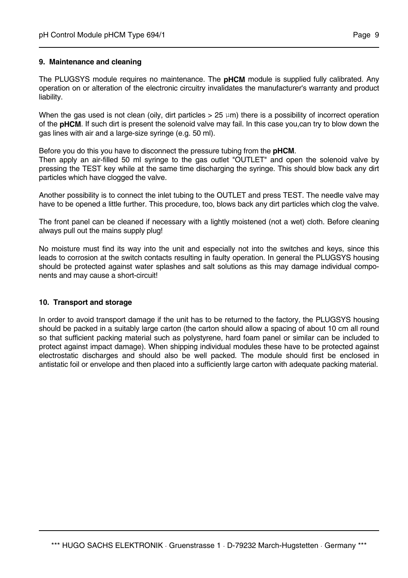#### **9. Maintenance and cleaning**

The PLUGSYS module requires no maintenance. The **pHCM** module is supplied fully calibrated. Any operation on or alteration of the electronic circuitry invalidates the manufacturer's warranty and product liability.

When the gas used is not clean (oily, dirt particles  $> 25 \mu m$ ) there is a possibility of incorrect operation of the **pHCM**. If such dirt is present the solenoid valve may fail. In this case you,can try to blow down the gas lines with air and a large-size syringe (e.g. 50 ml).

Before you do this you have to disconnect the pressure tubing from the **pHCM**.

Then apply an air-filled 50 ml syringe to the gas outlet "OUTLET" and open the solenoid valve by pressing the TEST key while at the same time discharging the syringe. This should blow back any dirt particles which have clogged the valve.

Another possibility is to connect the inlet tubing to the OUTLET and press TEST. The needle valve may have to be opened a little further. This procedure, too, blows back any dirt particles which clog the valve.

The front panel can be cleaned if necessary with a lightly moistened (not a wet) cloth. Before cleaning always pull out the mains supply plug!

No moisture must find its way into the unit and especially not into the switches and keys, since this leads to corrosion at the switch contacts resulting in faulty operation. In general the PLUGSYS housing should be protected against water splashes and salt solutions as this may damage individual components and may cause a short-circuit!

#### **10. Transport and storage**

In order to avoid transport damage if the unit has to be returned to the factory, the PLUGSYS housing should be packed in a suitably large carton (the carton should allow a spacing of about 10 cm all round so that sufficient packing material such as polystyrene, hard foam panel or similar can be included to protect against impact damage). When shipping individual modules these have to be protected against electrostatic discharges and should also be well packed. The module should first be enclosed in antistatic foil or envelope and then placed into a sufficiently large carton with adequate packing material.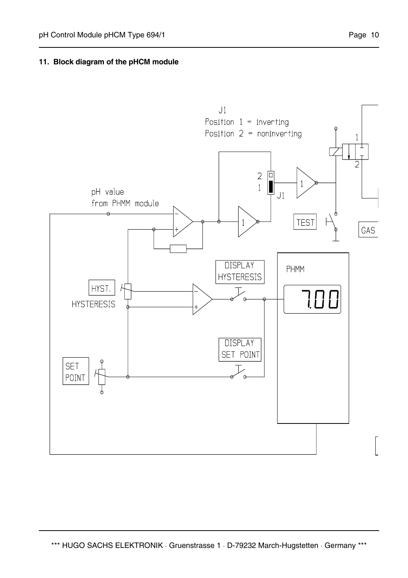# **11. Block diagram of the pHCM module**



\*\*\* HUGO SACHS ELEKTRONIK ⋅ Gruenstrasse 1 ⋅ D-79232 March-Hugstetten ⋅ Germany \*\*\*